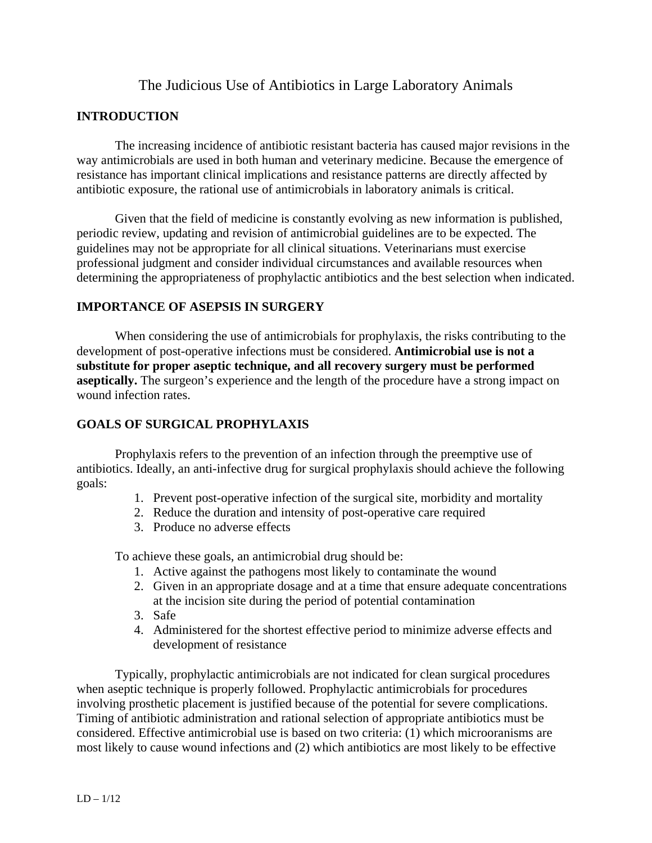# The Judicious Use of Antibiotics in Large Laboratory Animals

### **INTRODUCTION**

 The increasing incidence of antibiotic resistant bacteria has caused major revisions in the way antimicrobials are used in both human and veterinary medicine. Because the emergence of resistance has important clinical implications and resistance patterns are directly affected by antibiotic exposure, the rational use of antimicrobials in laboratory animals is critical.

 Given that the field of medicine is constantly evolving as new information is published, periodic review, updating and revision of antimicrobial guidelines are to be expected. The guidelines may not be appropriate for all clinical situations. Veterinarians must exercise professional judgment and consider individual circumstances and available resources when determining the appropriateness of prophylactic antibiotics and the best selection when indicated.

### **IMPORTANCE OF ASEPSIS IN SURGERY**

When considering the use of antimicrobials for prophylaxis, the risks contributing to the development of post-operative infections must be considered. **Antimicrobial use is not a substitute for proper aseptic technique, and all recovery surgery must be performed aseptically.** The surgeon's experience and the length of the procedure have a strong impact on wound infection rates.

### **GOALS OF SURGICAL PROPHYLAXIS**

 Prophylaxis refers to the prevention of an infection through the preemptive use of antibiotics. Ideally, an anti-infective drug for surgical prophylaxis should achieve the following goals:

- 1. Prevent post-operative infection of the surgical site, morbidity and mortality
- 2. Reduce the duration and intensity of post-operative care required
- 3. Produce no adverse effects

To achieve these goals, an antimicrobial drug should be:

- 1. Active against the pathogens most likely to contaminate the wound
- 2. Given in an appropriate dosage and at a time that ensure adequate concentrations at the incision site during the period of potential contamination
- 3. Safe
- 4. Administered for the shortest effective period to minimize adverse effects and development of resistance

 Typically, prophylactic antimicrobials are not indicated for clean surgical procedures when aseptic technique is properly followed. Prophylactic antimicrobials for procedures involving prosthetic placement is justified because of the potential for severe complications. Timing of antibiotic administration and rational selection of appropriate antibiotics must be considered. Effective antimicrobial use is based on two criteria: (1) which microoranisms are most likely to cause wound infections and (2) which antibiotics are most likely to be effective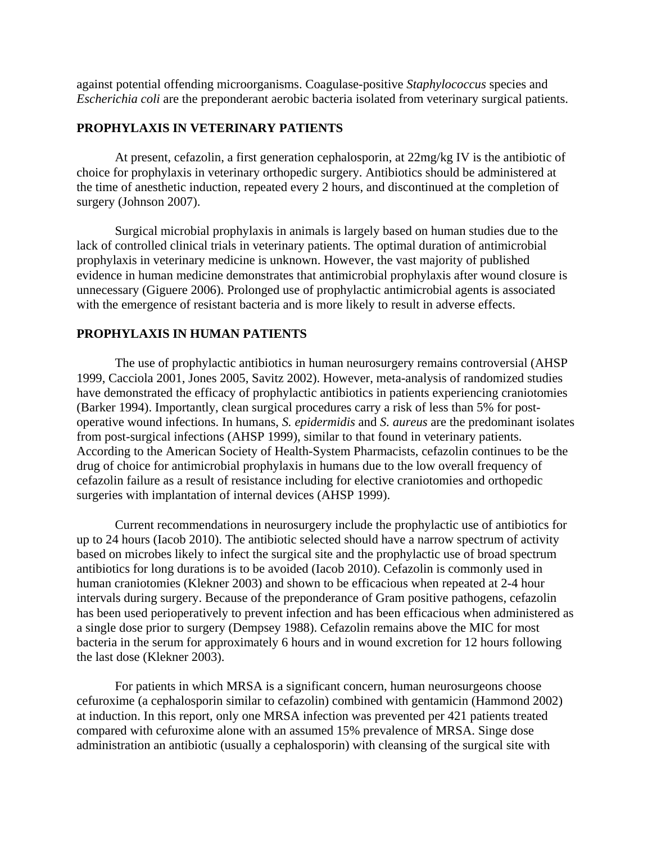against potential offending microorganisms. Coagulase-positive *Staphylococcus* species and *Escherichia coli* are the preponderant aerobic bacteria isolated from veterinary surgical patients.

#### **PROPHYLAXIS IN VETERINARY PATIENTS**

 At present, cefazolin, a first generation cephalosporin, at 22mg/kg IV is the antibiotic of choice for prophylaxis in veterinary orthopedic surgery. Antibiotics should be administered at the time of anesthetic induction, repeated every 2 hours, and discontinued at the completion of surgery (Johnson 2007).

 Surgical microbial prophylaxis in animals is largely based on human studies due to the lack of controlled clinical trials in veterinary patients. The optimal duration of antimicrobial prophylaxis in veterinary medicine is unknown. However, the vast majority of published evidence in human medicine demonstrates that antimicrobial prophylaxis after wound closure is unnecessary (Giguere 2006). Prolonged use of prophylactic antimicrobial agents is associated with the emergence of resistant bacteria and is more likely to result in adverse effects.

### **PROPHYLAXIS IN HUMAN PATIENTS**

 The use of prophylactic antibiotics in human neurosurgery remains controversial (AHSP 1999, Cacciola 2001, Jones 2005, Savitz 2002). However, meta-analysis of randomized studies have demonstrated the efficacy of prophylactic antibiotics in patients experiencing craniotomies (Barker 1994). Importantly, clean surgical procedures carry a risk of less than 5% for postoperative wound infections. In humans, *S. epidermidis* and *S. aureus* are the predominant isolates from post-surgical infections (AHSP 1999), similar to that found in veterinary patients. According to the American Society of Health-System Pharmacists, cefazolin continues to be the drug of choice for antimicrobial prophylaxis in humans due to the low overall frequency of cefazolin failure as a result of resistance including for elective craniotomies and orthopedic surgeries with implantation of internal devices (AHSP 1999).

 Current recommendations in neurosurgery include the prophylactic use of antibiotics for up to 24 hours (Iacob 2010). The antibiotic selected should have a narrow spectrum of activity based on microbes likely to infect the surgical site and the prophylactic use of broad spectrum antibiotics for long durations is to be avoided (Iacob 2010). Cefazolin is commonly used in human craniotomies (Klekner 2003) and shown to be efficacious when repeated at 2-4 hour intervals during surgery. Because of the preponderance of Gram positive pathogens, cefazolin has been used perioperatively to prevent infection and has been efficacious when administered as a single dose prior to surgery (Dempsey 1988). Cefazolin remains above the MIC for most bacteria in the serum for approximately 6 hours and in wound excretion for 12 hours following the last dose (Klekner 2003).

 For patients in which MRSA is a significant concern, human neurosurgeons choose cefuroxime (a cephalosporin similar to cefazolin) combined with gentamicin (Hammond 2002) at induction. In this report, only one MRSA infection was prevented per 421 patients treated compared with cefuroxime alone with an assumed 15% prevalence of MRSA. Singe dose administration an antibiotic (usually a cephalosporin) with cleansing of the surgical site with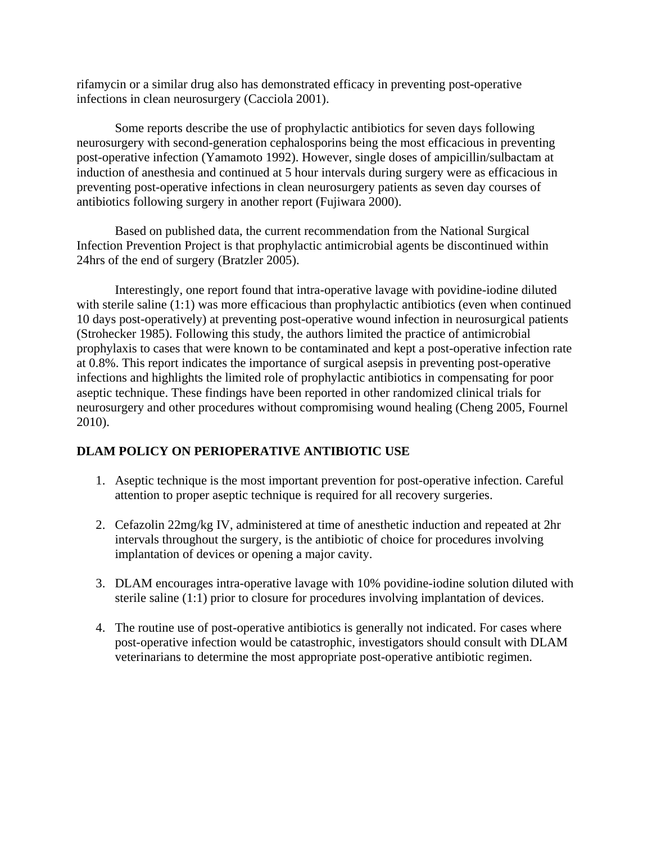rifamycin or a similar drug also has demonstrated efficacy in preventing post-operative infections in clean neurosurgery (Cacciola 2001).

Some reports describe the use of prophylactic antibiotics for seven days following neurosurgery with second-generation cephalosporins being the most efficacious in preventing post-operative infection (Yamamoto 1992). However, single doses of ampicillin/sulbactam at induction of anesthesia and continued at 5 hour intervals during surgery were as efficacious in preventing post-operative infections in clean neurosurgery patients as seven day courses of antibiotics following surgery in another report (Fujiwara 2000).

Based on published data, the current recommendation from the National Surgical Infection Prevention Project is that prophylactic antimicrobial agents be discontinued within 24hrs of the end of surgery (Bratzler 2005).

Interestingly, one report found that intra-operative lavage with povidine-iodine diluted with sterile saline (1:1) was more efficacious than prophylactic antibiotics (even when continued 10 days post-operatively) at preventing post-operative wound infection in neurosurgical patients (Strohecker 1985). Following this study, the authors limited the practice of antimicrobial prophylaxis to cases that were known to be contaminated and kept a post-operative infection rate at 0.8%. This report indicates the importance of surgical asepsis in preventing post-operative infections and highlights the limited role of prophylactic antibiotics in compensating for poor aseptic technique. These findings have been reported in other randomized clinical trials for neurosurgery and other procedures without compromising wound healing (Cheng 2005, Fournel 2010).

## **DLAM POLICY ON PERIOPERATIVE ANTIBIOTIC USE**

- 1. Aseptic technique is the most important prevention for post-operative infection. Careful attention to proper aseptic technique is required for all recovery surgeries.
- 2. Cefazolin 22mg/kg IV, administered at time of anesthetic induction and repeated at 2hr intervals throughout the surgery, is the antibiotic of choice for procedures involving implantation of devices or opening a major cavity.
- 3. DLAM encourages intra-operative lavage with 10% povidine-iodine solution diluted with sterile saline (1:1) prior to closure for procedures involving implantation of devices.
- 4. The routine use of post-operative antibiotics is generally not indicated. For cases where post-operative infection would be catastrophic, investigators should consult with DLAM veterinarians to determine the most appropriate post-operative antibiotic regimen.